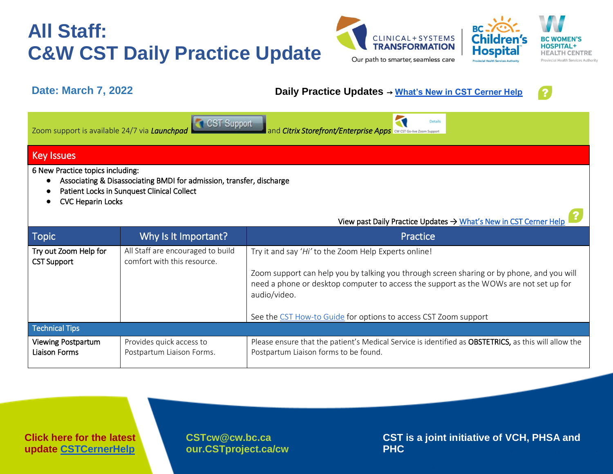



#### **Date: March 7, 2022 Daily Practice Updates** → **[What's New in CST Cerner Help](http://cstcernerhelp.healthcarebc.ca/#t=Whats_New%2FWhat_s_New.htm&rhsearch=favourites%20printer&rhsyns=%20)**



**BC** 

| CST Support<br><b>Details</b><br>Zoom support is available 24/7 via Launchpad<br>and <i>Citrix Storefront/Enterprise Apps</i> CW CST Go-live Zoom Support                          |                                                                  |                                                                                                                                                                                                                                                            |  |  |  |  |
|------------------------------------------------------------------------------------------------------------------------------------------------------------------------------------|------------------------------------------------------------------|------------------------------------------------------------------------------------------------------------------------------------------------------------------------------------------------------------------------------------------------------------|--|--|--|--|
| <b>Key Issues</b>                                                                                                                                                                  |                                                                  |                                                                                                                                                                                                                                                            |  |  |  |  |
| 6 New Practice topics including:<br>Associating & Disassociating BMDI for admission, transfer, discharge<br>Patient Locks in Sunquest Clinical Collect<br><b>CVC Heparin Locks</b> |                                                                  |                                                                                                                                                                                                                                                            |  |  |  |  |
|                                                                                                                                                                                    |                                                                  | View past Daily Practice Updates → What's New in CST Cerner Help                                                                                                                                                                                           |  |  |  |  |
| <b>Topic</b>                                                                                                                                                                       | Why Is It Important?                                             | Practice                                                                                                                                                                                                                                                   |  |  |  |  |
| Try out Zoom Help for<br><b>CST Support</b>                                                                                                                                        | All Staff are encouraged to build<br>comfort with this resource. | Try it and say 'Hi' to the Zoom Help Experts online!<br>Zoom support can help you by talking you through screen sharing or by phone, and you will<br>need a phone or desktop computer to access the support as the WOWs are not set up for<br>audio/video. |  |  |  |  |
|                                                                                                                                                                                    |                                                                  | See the CST How-to Guide for options to access CST Zoom support                                                                                                                                                                                            |  |  |  |  |
| <b>Technical Tips</b>                                                                                                                                                              |                                                                  |                                                                                                                                                                                                                                                            |  |  |  |  |
| <b>Viewing Postpartum</b><br>Liaison Forms                                                                                                                                         | Provides quick access to<br>Postpartum Liaison Forms.            | Please ensure that the patient's Medical Service is identified as OBSTETRICS, as this will allow the<br>Postpartum Liaison forms to be found.                                                                                                              |  |  |  |  |

**Click here for the latest update [CSTCernerHelp](http://cstcernerhelp.healthcarebc.ca/#t=Whats_New%2FWhat_s_New.htm&rhsearch=favourites%20printer&rhsyns=%20)**

**[CSTcw@cw.bc.ca](mailto:CSTcw@cw.bc.ca)  our.CSTproject.ca/cw**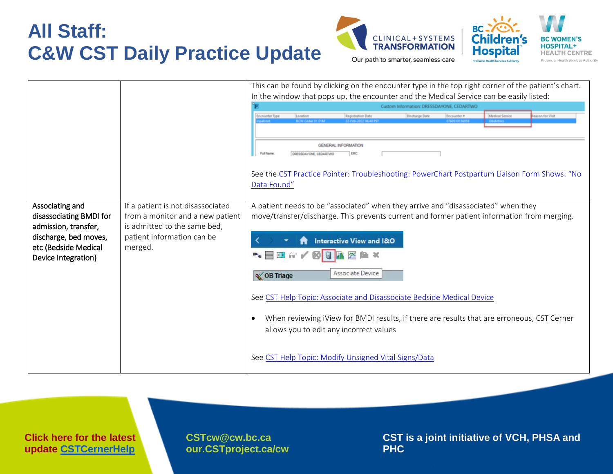



|                                                                                                                                            |                                                                                                                                                | This can be found by clicking on the encounter type in the top right corner of the patient's chart.<br>In the window that pops up, the encounter and the Medical Service can be easily listed:<br>Custom Information: DRESSDAYONE, CEDARTWO                                                                                                                                                                                                                                                                                                                                 |
|--------------------------------------------------------------------------------------------------------------------------------------------|------------------------------------------------------------------------------------------------------------------------------------------------|-----------------------------------------------------------------------------------------------------------------------------------------------------------------------------------------------------------------------------------------------------------------------------------------------------------------------------------------------------------------------------------------------------------------------------------------------------------------------------------------------------------------------------------------------------------------------------|
|                                                                                                                                            |                                                                                                                                                | <b>Encounter Type</b><br>eason for Visit<br>Medical Service<br>Discharge Date<br>Location<br>Registration Date<br>Encounter #<br>GENERAL INFORMATION<br>Full Name<br>EMC:<br>DRESSDAYONE, CEDARTWO<br>See the CST Practice Pointer: Troubleshooting: PowerChart Postpartum Liaison Form Shows: "No<br>Data Found"                                                                                                                                                                                                                                                           |
| Associating and<br>disassociating BMDI for<br>admission, transfer,<br>discharge, bed moves,<br>etc (Bedside Medical<br>Device Integration) | If a patient is not disassociated<br>from a monitor and a new patient<br>is admitted to the same bed,<br>patient information can be<br>merged. | A patient needs to be "associated" when they arrive and "disassociated" when they<br>move/transfer/discharge. This prevents current and former patient information from merging.<br><b>Interactive View and I&amp;O</b><br>™■■■☆/<br>$T^{\infty}$<br>Associate Device<br>S OB Triage<br>See CST Help Topic: Associate and Disassociate Bedside Medical Device<br>When reviewing iView for BMDI results, if there are results that are erroneous, CST Cerner<br>$\bullet$<br>allows you to edit any incorrect values<br>See CST Help Topic: Modify Unsigned Vital Signs/Data |

**Click here for the latest update [CSTCernerHelp](http://cstcernerhelp.healthcarebc.ca/#t=Whats_New%2FWhat_s_New.htm&rhsearch=favourites%20printer&rhsyns=%20)**

**[CSTcw@cw.bc.ca](mailto:CSTcw@cw.bc.ca)  our.CSTproject.ca/cw**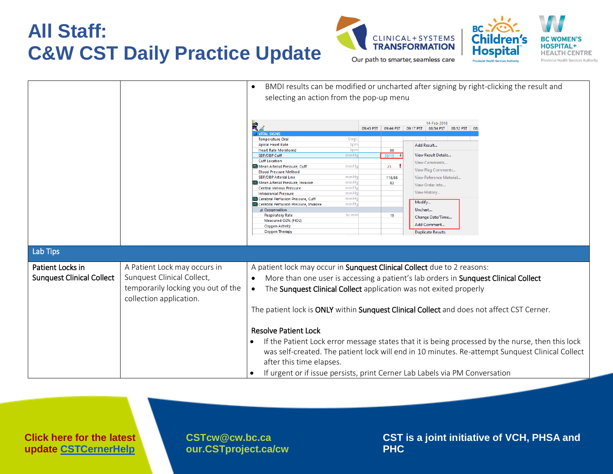



|                                                      |                                                                                                                             | BMDI results can be modified or uncharted after signing by right-clicking the result and<br>$\bullet$<br>selecting an action from the pop-up menu<br>豐∡<br><b>4 VITAL SIGNS</b><br><b>Temperature Oral</b><br>DegC<br><b>Apical Heart Rate</b><br>bpm<br><b>Heart Rate Monitored</b><br>bpm<br><b>SBP/DBP Cuff</b><br>mmHq<br><b>Cuff Location</b><br>Mean Arterial Pressure, Cuff<br>mmHc<br><b>Blood Pressure Method</b><br>mmHa<br><b>SBP/DBP Arterial Line</b><br>Mean Arterial Pressure, Invasive<br>mmHq<br>mmHq<br><b>Central Venous Pressure</b><br>mmHq<br><b>Intracranial Pressure</b><br>Cerebral Perfusion Pressure, Cuff<br>mmHq<br>mmHq<br>Cerebral Perfusion Pressure, Invasive<br>⊿ Oxygenation<br>br/min<br><b>Respiratory Rate</b><br>Measured O2% (FIO2)<br><b>Oxygen Activity</b><br><b>Oxygen Therapy</b> | 88<br>$33/15$ $\sqrt{ }$<br>$21 \quad$<br>116/66<br>83<br>19 | 14-Feb-2018<br>09:45 PST 09:44 PST 09:17 PST 08:54 PST 08:52 PST<br>Add Result.<br>View Result Details<br>View Comments<br>View Flag Comments<br>View Reference Material<br>View Order Info<br>View History<br>Modify<br>Unchart<br>Change Date/Time<br>Add Comment.<br><b>Duplicate Results</b> |  |
|------------------------------------------------------|-----------------------------------------------------------------------------------------------------------------------------|--------------------------------------------------------------------------------------------------------------------------------------------------------------------------------------------------------------------------------------------------------------------------------------------------------------------------------------------------------------------------------------------------------------------------------------------------------------------------------------------------------------------------------------------------------------------------------------------------------------------------------------------------------------------------------------------------------------------------------------------------------------------------------------------------------------------------------|--------------------------------------------------------------|--------------------------------------------------------------------------------------------------------------------------------------------------------------------------------------------------------------------------------------------------------------------------------------------------|--|
| Lab Tips                                             |                                                                                                                             |                                                                                                                                                                                                                                                                                                                                                                                                                                                                                                                                                                                                                                                                                                                                                                                                                                |                                                              |                                                                                                                                                                                                                                                                                                  |  |
| Patient Locks in<br><b>Sunquest Clinical Collect</b> | A Patient Lock may occurs in<br>Sunquest Clinical Collect,<br>temporarily locking you out of the<br>collection application. | A patient lock may occur in Sunquest Clinical Collect due to 2 reasons:<br>More than one user is accessing a patient's lab orders in <b>Sunquest Clinical Collect</b><br>$\bullet$<br>The <b>Sunquest Clinical Collect</b> application was not exited properly<br>$\bullet$<br>The patient lock is ONLY within Sunquest Clinical Collect and does not affect CST Cerner.<br><b>Resolve Patient Lock</b><br>If the Patient Lock error message states that it is being processed by the nurse, then this lock<br>$\bullet$<br>was self-created. The patient lock will end in 10 minutes. Re-attempt Sunquest Clinical Collect<br>after this time elapses.<br>If urgent or if issue persists, print Cerner Lab Labels via PM Conversation                                                                                         |                                                              |                                                                                                                                                                                                                                                                                                  |  |

**Click here for the latest update [CSTCernerHelp](http://cstcernerhelp.healthcarebc.ca/#t=Whats_New%2FWhat_s_New.htm&rhsearch=favourites%20printer&rhsyns=%20)**

**[CSTcw@cw.bc.ca](mailto:CSTcw@cw.bc.ca)  our.CSTproject.ca/cw**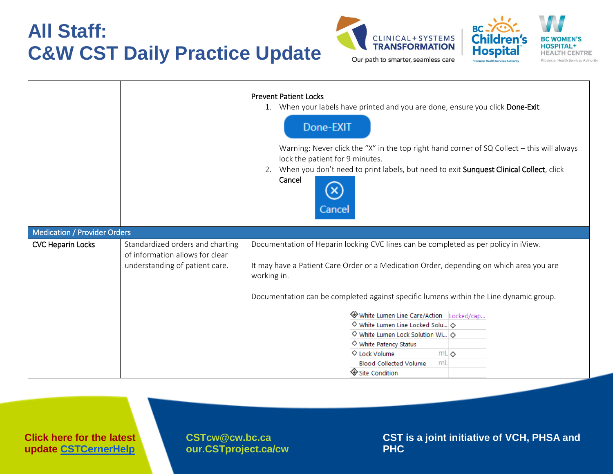



|                                     |                                                                                                       | <b>Prevent Patient Locks</b><br>1. When your labels have printed and you are done, ensure you click Done-Exit<br>Done-EXIT<br>Warning: Never click the "X" in the top right hand corner of SQ Collect - this will always<br>lock the patient for 9 minutes.<br>2. When you don't need to print labels, but need to exit Sunquest Clinical Collect, click<br>Cancel<br>Cancel                                                                                                                                                                 |
|-------------------------------------|-------------------------------------------------------------------------------------------------------|----------------------------------------------------------------------------------------------------------------------------------------------------------------------------------------------------------------------------------------------------------------------------------------------------------------------------------------------------------------------------------------------------------------------------------------------------------------------------------------------------------------------------------------------|
| <b>Medication / Provider Orders</b> |                                                                                                       |                                                                                                                                                                                                                                                                                                                                                                                                                                                                                                                                              |
| <b>CVC Heparin Locks</b>            | Standardized orders and charting<br>of information allows for clear<br>understanding of patient care. | Documentation of Heparin locking CVC lines can be completed as per policy in iView.<br>It may have a Patient Care Order or a Medication Order, depending on which area you are<br>working in.<br>Documentation can be completed against specific lumens within the Line dynamic group.<br>White Lumen Line Care/Action Locked/cap<br>$\diamond$ White Lumen Line Locked Solu<br>$\diamond$ White Lumen Lock Solution Wi $\diamond$<br>◇ White Patency Status<br>◇ Lock Volume<br>mL<br><b>Blood Collected Volume</b><br>mL<br>Site Condition |

**Click here for the latest update [CSTCernerHelp](http://cstcernerhelp.healthcarebc.ca/#t=Whats_New%2FWhat_s_New.htm&rhsearch=favourites%20printer&rhsyns=%20)**

**[CSTcw@cw.bc.ca](mailto:CSTcw@cw.bc.ca)  our.CSTproject.ca/cw**